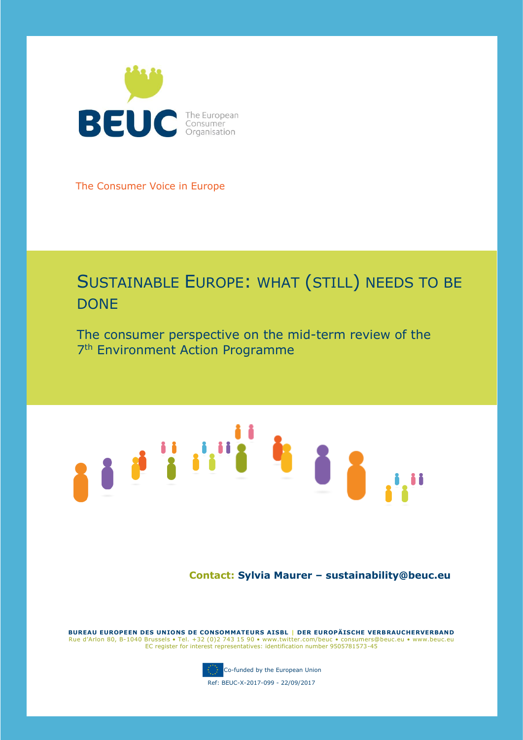

The Consumer Voice in Europe

# SUSTAINABLE EUROPE: WHAT (STILL) NEEDS TO BE **DONE**

The consumer perspective on the mid-term review of the 7<sup>th</sup> Environment Action Programme

# 

**Contact: Sylvia Maurer – sustainability@beuc.eu**

**BUREAU EUROPEEN DES UNIONS DE CONSOMMATEURS AISBL | DER EUROPÄISCHE VERBRAUCHERVERBAND** Rue d'Arlon 80, B-1040 Brussels • Tel. +32 (0)2 743 15 90 • www.twitter.com/beuc • consumers@beuc.eu • www.beuc.eu EC register for interest representatives: identification number 9505781573-45



Co-funded by the European Union

Ref: BEUC-X-2017-099 - 22/09/2017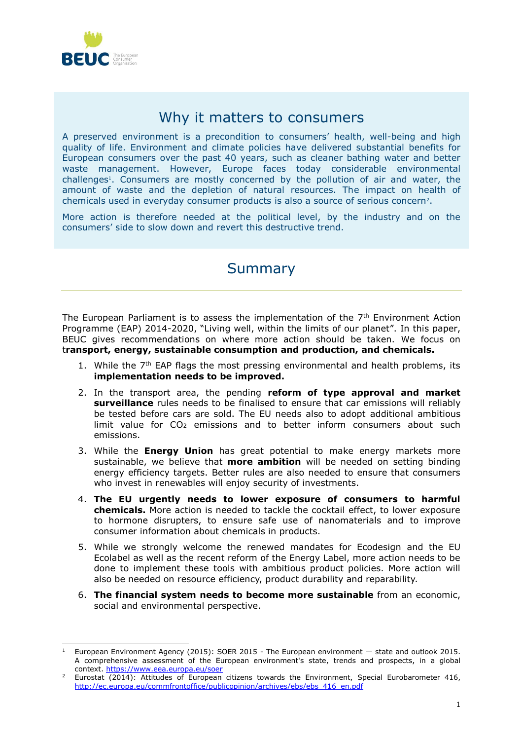

# Why it matters to consumers

A preserved environment is a precondition to consumers' health, well-being and high quality of life. Environment and climate policies have delivered substantial benefits for European consumers over the past 40 years, such as cleaner bathing water and better waste management. However, Europe faces today considerable environmental challenges<sup>1</sup>. Consumers are mostly concerned by the pollution of air and water, the amount of waste and the depletion of natural resources. The impact on health of chemicals used in everyday consumer products is also a source of serious concern<sup>2</sup> .

More action is therefore needed at the political level, by the industry and on the consumers' side to slow down and revert this destructive trend.

# **Summary**

The European Parliament is to assess the implementation of the 7<sup>th</sup> Environment Action Programme (EAP) 2014-2020, "Living well, within the limits of our planet". In this paper, BEUC gives recommendations on where more action should be taken. We focus on t**ransport, energy, sustainable consumption and production, and chemicals.** 

- 1. While the  $7<sup>th</sup>$  EAP flags the most pressing environmental and health problems, its **implementation needs to be improved.**
- 2. In the transport area, the pending **reform of type approval and market surveillance** rules needs to be finalised to ensure that car emissions will reliably be tested before cars are sold. The EU needs also to adopt additional ambitious limit value for  $CO<sub>2</sub>$  emissions and to better inform consumers about such emissions.
- 3. While the **Energy Union** has great potential to make energy markets more sustainable, we believe that **more ambition** will be needed on setting binding energy efficiency targets. Better rules are also needed to ensure that consumers who invest in renewables will enjoy security of investments.
- 4. **The EU urgently needs to lower exposure of consumers to harmful chemicals.** More action is needed to tackle the cocktail effect, to lower exposure to hormone disrupters, to ensure safe use of nanomaterials and to improve consumer information about chemicals in products.
- 5. While we strongly welcome the renewed mandates for Ecodesign and the EU Ecolabel as well as the recent reform of the Energy Label, more action needs to be done to implement these tools with ambitious product policies. More action will also be needed on resource efficiency, product durability and reparability.
- 6. **The financial system needs to become more sustainable** from an economic, social and environmental perspective.

<sup>1</sup> <sup>1</sup> European Environment Agency (2015): SOER 2015 - The European environment — state and outlook 2015. A comprehensive assessment of the European environment's state, trends and prospects, in a global context[. https://www.eea.europa.eu/soer](https://www.eea.europa.eu/soer)

Eurostat (2014): Attitudes of European citizens towards the Environment, Special Eurobarometer 416, [http://ec.europa.eu/commfrontoffice/publicopinion/archives/ebs/ebs\\_416\\_en.pdf](http://ec.europa.eu/commfrontoffice/publicopinion/archives/ebs/ebs_416_en.pdf)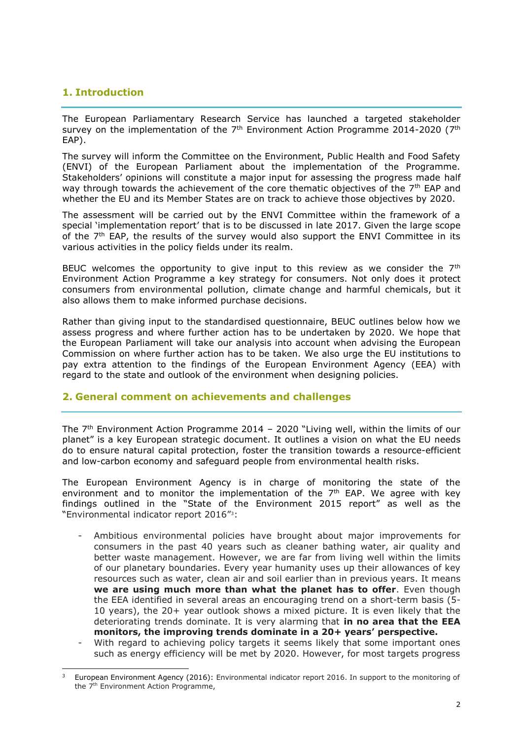# **1. Introduction**

The European Parliamentary Research Service has launched a targeted stakeholder survey on the implementation of the 7<sup>th</sup> Environment Action Programme 2014-2020 (7<sup>th</sup> EAP).

The survey will inform the Committee on the Environment, Public Health and Food Safety (ENVI) of the European Parliament about the implementation of the Programme. Stakeholders' opinions will constitute a major input for assessing the progress made half way through towards the achievement of the core thematic objectives of the  $7<sup>th</sup>$  EAP and whether the EU and its Member States are on track to achieve those objectives by 2020.

The assessment will be carried out by the ENVI Committee within the framework of a special 'implementation report' that is to be discussed in late 2017. Given the large scope of the  $7<sup>th</sup>$  EAP, the results of the survey would also support the ENVI Committee in its various activities in the policy fields under its realm.

BEUC welcomes the opportunity to give input to this review as we consider the  $7<sup>th</sup>$ Environment Action Programme a key strategy for consumers. Not only does it protect consumers from environmental pollution, climate change and harmful chemicals, but it also allows them to make informed purchase decisions.

Rather than giving input to the standardised questionnaire, BEUC outlines below how we assess progress and where further action has to be undertaken by 2020. We hope that the European Parliament will take our analysis into account when advising the European Commission on where further action has to be taken. We also urge the EU institutions to pay extra attention to the findings of the European Environment Agency (EEA) with regard to the state and outlook of the environment when designing policies.

## **2. General comment on achievements and challenges**

The 7th Environment Action Programme 2014 – 2020 "Living well, within the limits of our planet" is a key European strategic document. It outlines a vision on what the EU needs do to ensure natural capital protection, foster the transition towards a resource-efficient and low-carbon economy and safeguard people from environmental health risks.

The European Environment Agency is in charge of monitoring the state of the environment and to monitor the implementation of the  $7<sup>th</sup>$  EAP. We agree with key findings outlined in the "State of the Environment 2015 report" as well as the "Environmental indicator report 2016" 3:

- Ambitious environmental policies have brought about major improvements for consumers in the past 40 years such as cleaner bathing water, air quality and better waste management. However, we are far from living well within the limits of our planetary boundaries. Every year humanity uses up their allowances of key resources such as water, clean air and soil earlier than in previous years. It means **we are using much more than what the planet has to offer**. Even though the EEA identified in several areas an encouraging trend on a short-term basis (5- 10 years), the 20+ year outlook shows a mixed picture. It is even likely that the deteriorating trends dominate. It is very alarming that **in no area that the EEA monitors, the improving trends dominate in a 20+ years' perspective.**
- With regard to achieving policy targets it seems likely that some important ones such as energy efficiency will be met by 2020. However, for most targets progress

<sup>-</sup>European Environment Agency (2016): Environmental indicator report 2016. In support to the monitoring of the 7<sup>th</sup> Environment Action Programme,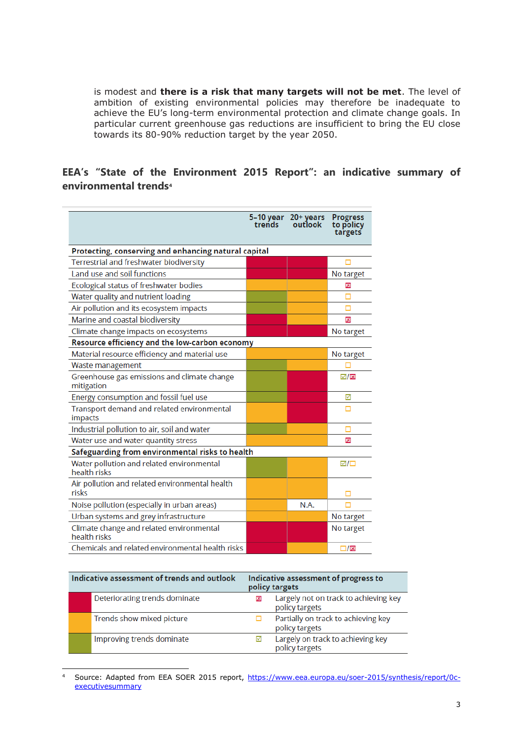is modest and **there is a risk that many targets will not be met**. The level of ambition of existing environmental policies may therefore be inadequate to achieve the EU's long-term environmental protection and climate change goals. In particular current greenhouse gas reductions are insufficient to bring the EU close towards its 80-90% reduction target by the year 2050.

# **EEA's "State of the Environment 2015 Report": an indicative summary of environmental trends<sup>4</sup>**

|                                                           | trends | 5-10 year 20+ years<br>outlook | <b>Progress</b><br>to policy<br>targets |  |  |
|-----------------------------------------------------------|--------|--------------------------------|-----------------------------------------|--|--|
| Protecting, conserving and enhancing natural capital      |        |                                |                                         |  |  |
| Terrestrial and freshwater biodiversity                   |        |                                |                                         |  |  |
| Land use and soil functions                               |        |                                | No target                               |  |  |
| Ecological status of freshwater bodies                    |        |                                | ⊠                                       |  |  |
| Water quality and nutrient loading                        |        |                                |                                         |  |  |
| Air pollution and its ecosystem impacts                   |        |                                |                                         |  |  |
| Marine and coastal biodiversity                           |        |                                | ⊠                                       |  |  |
| Climate change impacts on ecosystems                      |        |                                | No target                               |  |  |
| Resource efficiency and the low-carbon economy            |        |                                |                                         |  |  |
| Material resource efficiency and material use             |        |                                | No target                               |  |  |
| Waste management                                          |        |                                |                                         |  |  |
| Greenhouse gas emissions and climate change<br>mitigation |        |                                | ⊡/⊠                                     |  |  |
| Energy consumption and fossil fuel use                    |        |                                | ☑                                       |  |  |
| Transport demand and related environmental<br>impacts     |        |                                | п                                       |  |  |
| Industrial pollution to air, soil and water               |        |                                | □                                       |  |  |
| Water use and water quantity stress                       |        |                                | ⊠                                       |  |  |
| Safeguarding from environmental risks to health           |        |                                |                                         |  |  |
| Water pollution and related environmental<br>health risks |        |                                | ☑/□                                     |  |  |
| Air pollution and related environmental health<br>risks   |        |                                |                                         |  |  |
| Noise pollution (especially in urban areas)               |        | N.A.                           |                                         |  |  |
| Urban systems and grey infrastructure                     |        |                                | No target                               |  |  |
| Climate change and related environmental<br>health risks  |        |                                | No target                               |  |  |
| Chemicals and related environmental health risks          |        |                                | $\square/\boxtimes$                     |  |  |

| Indicative assessment of trends and outlook | Indicative assessment of progress to<br>policy targets |                                                         |
|---------------------------------------------|--------------------------------------------------------|---------------------------------------------------------|
| Deteriorating trends dominate               |                                                        | Largely not on track to achieving key<br>policy targets |
| Trends show mixed picture                   |                                                        | Partially on track to achieving key<br>policy targets   |
| Improving trends dominate                   |                                                        | Largely on track to achieving key<br>policy targets     |

<sup>4</sup> Source: Adapted from EEA SOER 2015 report, [https://www.eea.europa.eu/soer-2015/synthesis/report/0c](https://www.eea.europa.eu/soer-2015/synthesis/report/0c-executivesummary)[executivesummary](https://www.eea.europa.eu/soer-2015/synthesis/report/0c-executivesummary)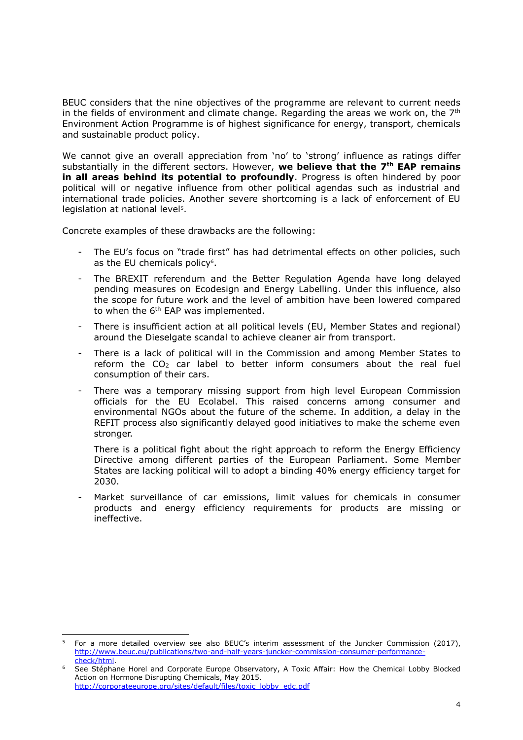BEUC considers that the nine objectives of the programme are relevant to current needs in the fields of environment and climate change. Regarding the areas we work on, the  $7<sup>th</sup>$ Environment Action Programme is of highest significance for energy, transport, chemicals and sustainable product policy.

We cannot give an overall appreciation from 'no' to 'strong' influence as ratings differ substantially in the different sectors. However, **we believe that the 7th EAP remains in all areas behind its potential to profoundly**. Progress is often hindered by poor political will or negative influence from other political agendas such as industrial and international trade policies. Another severe shortcoming is a lack of enforcement of EU legislation at national level<sup>5</sup>.

Concrete examples of these drawbacks are the following:

- The EU's focus on "trade first" has had detrimental effects on other policies, such as the EU chemicals policy<sup>6</sup>.
- The BREXIT referendum and the Better Regulation Agenda have long delayed pending measures on Ecodesign and Energy Labelling. Under this influence, also the scope for future work and the level of ambition have been lowered compared to when the 6<sup>th</sup> EAP was implemented.
- There is insufficient action at all political levels (EU, Member States and regional) around the Dieselgate scandal to achieve cleaner air from transport.
- There is a lack of political will in the Commission and among Member States to reform the  $CO<sub>2</sub>$  car label to better inform consumers about the real fuel consumption of their cars.
- There was a temporary missing support from high level European Commission officials for the EU Ecolabel. This raised concerns among consumer and environmental NGOs about the future of the scheme. In addition, a delay in the REFIT process also significantly delayed good initiatives to make the scheme even stronger.

There is a political fight about the right approach to reform the Energy Efficiency Directive among different parties of the European Parliament. Some Member States are lacking political will to adopt a binding 40% energy efficiency target for 2030.

- Market surveillance of car emissions, limit values for chemicals in consumer products and energy efficiency requirements for products are missing or ineffective.

<sup>1</sup> <sup>5</sup> For a more detailed overview see also BEUC's interim assessment of the Juncker Commission (2017), [http://www.beuc.eu/publications/two-and-half-years-juncker-commission-consumer-performance](http://www.beuc.eu/publications/two-and-half-years-juncker-commission-consumer-performance-check/html)[check/html.](http://www.beuc.eu/publications/two-and-half-years-juncker-commission-consumer-performance-check/html)

See Stéphane Horel and Corporate Europe Observatory, A Toxic Affair: How the Chemical Lobby Blocked Action on Hormone Disrupting Chemicals, May 2015. [http://corporateeurope.org/sites/default/files/toxic\\_lobby\\_edc.pdf](http://corporateeurope.org/sites/default/files/toxic_lobby_edc.pdf)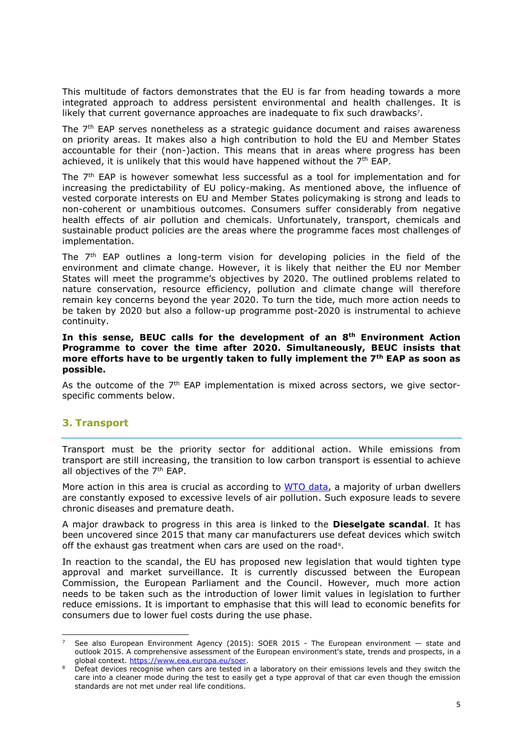This multitude of factors demonstrates that the EU is far from heading towards a more integrated approach to address persistent environmental and health challenges. It is likely that current governance approaches are inadequate to fix such drawbacks<sup>7</sup>.

The 7<sup>th</sup> EAP serves nonetheless as a strategic guidance document and raises awareness on priority areas. It makes also a high contribution to hold the EU and Member States accountable for their (non-)action. This means that in areas where progress has been achieved, it is unlikely that this would have happened without the  $7<sup>th</sup>$  EAP.

The 7th EAP is however somewhat less successful as a tool for implementation and for increasing the predictability of EU policy-making. As mentioned above, the influence of vested corporate interests on EU and Member States policymaking is strong and leads to non-coherent or unambitious outcomes. Consumers suffer considerably from negative health effects of air pollution and chemicals. Unfortunately, transport, chemicals and sustainable product policies are the areas where the programme faces most challenges of implementation.

The  $7<sup>th</sup>$  EAP outlines a long-term vision for developing policies in the field of the environment and climate change. However, it is likely that neither the EU nor Member States will meet the programme's objectives by 2020. The outlined problems related to nature conservation, resource efficiency, pollution and climate change will therefore remain key concerns beyond the year 2020. To turn the tide, much more action needs to be taken by 2020 but also a follow-up programme post-2020 is instrumental to achieve continuity.

#### **In this sense, BEUC calls for the development of an 8th Environment Action Programme to cover the time after 2020. Simultaneously, BEUC insists that more efforts have to be urgently taken to fully implement the 7th EAP as soon as possible.**

As the outcome of the  $7<sup>th</sup>$  EAP implementation is mixed across sectors, we give sectorspecific comments below.

# **3. Transport**

1

Transport must be the priority sector for additional action. While emissions from transport are still increasing, the transition to low carbon transport is essential to achieve all objectives of the 7<sup>th</sup> EAP.

More action in this area is crucial as according to [WTO data,](http://www.who.int/phe/health_topics/outdoorair/databases/cities/en/) a majority of urban dwellers are constantly exposed to excessive levels of air pollution. Such exposure leads to severe chronic diseases and premature death.

A major drawback to progress in this area is linked to the **Dieselgate scandal**. It has been uncovered since 2015 that many car manufacturers use defeat devices which switch off the exhaust gas treatment when cars are used on the road<sup>8</sup>.

In reaction to the scandal, the EU has proposed new legislation that would tighten type approval and market surveillance. It is currently discussed between the European Commission, the European Parliament and the Council. However, much more action needs to be taken such as the introduction of lower limit values in legislation to further reduce emissions. It is important to emphasise that this will lead to economic benefits for consumers due to lower fuel costs during the use phase.

<sup>7</sup> See also European Environment Agency (2015): SOER 2015 - The European environment — state and outlook 2015. A comprehensive assessment of the European environment's state, trends and prospects, in a global context. [https://www.eea.europa.eu/soer.](https://www.eea.europa.eu/soer)

<sup>8</sup> Defeat devices recognise when cars are tested in a laboratory on their emissions levels and they switch the care into a cleaner mode during the test to easily get a type approval of that car even though the emission standards are not met under real life conditions.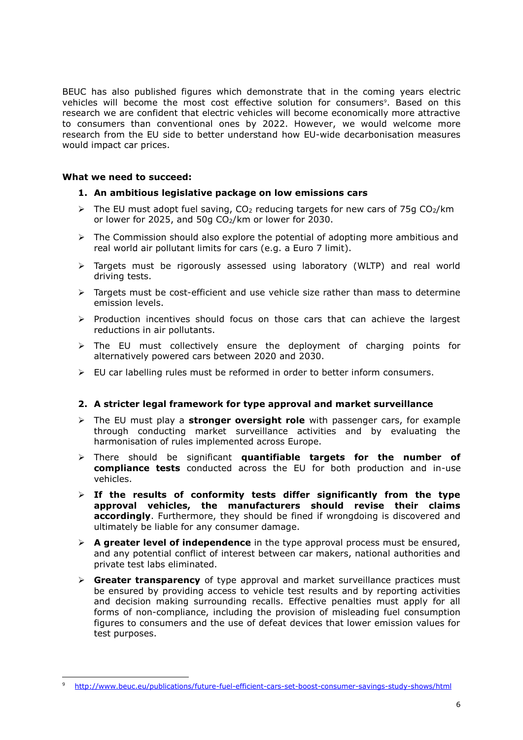BEUC has also published figures which demonstrate that in the coming years electric vehicles will become the most cost effective solution for consumers<sup>9</sup>. Based on this research we are confident that electric vehicles will become economically more attractive to consumers than conventional ones by 2022. However, we would welcome more research from the EU side to better understand how EU-wide decarbonisation measures would impact car prices.

#### **What we need to succeed:**

-

#### **1. An ambitious legislative package on low emissions cars**

- $\triangleright$  The EU must adopt fuel saving, CO<sub>2</sub> reducing targets for new cars of 75g CO<sub>2</sub>/km or lower for 2025, and 50g  $CO<sub>2</sub>/km$  or lower for 2030.
- $\triangleright$  The Commission should also explore the potential of adopting more ambitious and real world air pollutant limits for cars (e.g. a Euro 7 limit).
- ➢ Targets must be rigorously assessed using laboratory (WLTP) and real world driving tests.
- $\triangleright$  Targets must be cost-efficient and use vehicle size rather than mass to determine emission levels.
- ➢ Production incentives should focus on those cars that can achieve the largest reductions in air pollutants.
- ➢ The EU must collectively ensure the deployment of charging points for alternatively powered cars between 2020 and 2030.
- $\triangleright$  EU car labelling rules must be reformed in order to better inform consumers.

## **2. A stricter legal framework for type approval and market surveillance**

- ➢ The EU must play a **stronger oversight role** with passenger cars, for example through conducting market surveillance activities and by evaluating the harmonisation of rules implemented across Europe.
- ➢ There should be significant **quantifiable targets for the number of compliance tests** conducted across the EU for both production and in-use vehicles.
- ➢ **If the results of conformity tests differ significantly from the type approval vehicles, the manufacturers should revise their claims accordingly**. Furthermore, they should be fined if wrongdoing is discovered and ultimately be liable for any consumer damage.
- ➢ **A greater level of independence** in the type approval process must be ensured, and any potential conflict of interest between car makers, national authorities and private test labs eliminated.
- ➢ **Greater transparency** of type approval and market surveillance practices must be ensured by providing access to vehicle test results and by reporting activities and decision making surrounding recalls. Effective penalties must apply for all forms of non-compliance, including the provision of misleading fuel consumption figures to consumers and the use of defeat devices that lower emission values for test purposes.

<sup>9</sup> <http://www.beuc.eu/publications/future-fuel-efficient-cars-set-boost-consumer-savings-study-shows/html>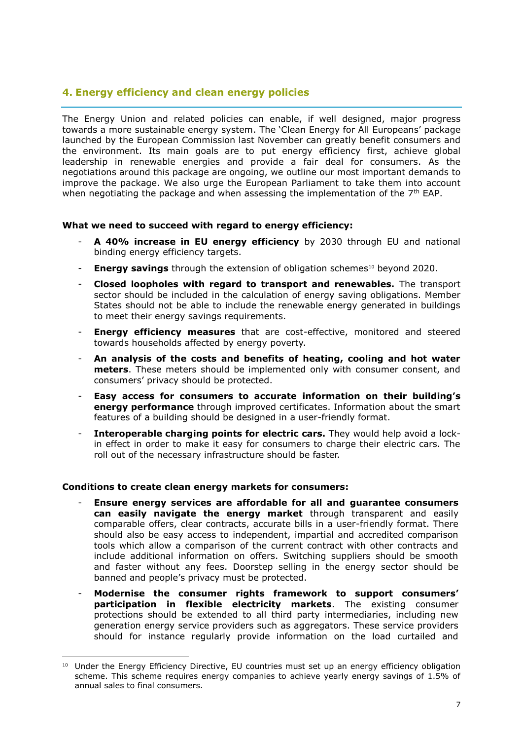# **4. Energy efficiency and clean energy policies**

The Energy Union and related policies can enable, if well designed, major progress towards a more sustainable energy system. The 'Clean Energy for All Europeans' package launched by the European Commission last November can greatly benefit consumers and the environment. Its main goals are to put energy efficiency first, achieve global leadership in renewable energies and provide a fair deal for consumers. As the negotiations around this package are ongoing, we outline our most important demands to improve the package. We also urge the European Parliament to take them into account when negotiating the package and when assessing the implementation of the  $7<sup>th</sup>$  EAP.

#### **What we need to succeed with regard to energy efficiency:**

- **A 40% increase in EU energy efficiency** by 2030 through EU and national binding energy efficiency targets.
- <sup>-</sup> **Energy savings** through the extension of obligation schemes<sup>10</sup> beyond 2020.
- **Closed loopholes with regard to transport and renewables.** The transport sector should be included in the calculation of energy saving obligations. Member States should not be able to include the renewable energy generated in buildings to meet their energy savings requirements.
- **Energy efficiency measures** that are cost-effective, monitored and steered towards households affected by energy poverty.
- **An analysis of the costs and benefits of heating, cooling and hot water meters**. These meters should be implemented only with consumer consent, and consumers' privacy should be protected.
- **Easy access for consumers to accurate information on their building's energy performance** through improved certificates. Information about the smart features of a building should be designed in a user-friendly format.
- **Interoperable charging points for electric cars.** They would help avoid a lockin effect in order to make it easy for consumers to charge their electric cars. The roll out of the necessary infrastructure should be faster.

#### **Conditions to create clean energy markets for consumers:**

- **Ensure energy services are affordable for all and guarantee consumers can easily navigate the energy market** through transparent and easily comparable offers, clear contracts, accurate bills in a user-friendly format. There should also be easy access to independent, impartial and accredited comparison tools which allow a comparison of the current contract with other contracts and include additional information on offers. Switching suppliers should be smooth and faster without any fees. Doorstep selling in the energy sector should be banned and people's privacy must be protected.
- **Modernise the consumer rights framework to support consumers' participation in flexible electricity markets**. The existing consumer protections should be extended to all third party intermediaries, including new generation energy service providers such as aggregators. These service providers should for instance regularly provide information on the load curtailed and

<sup>1</sup> <sup>10</sup> Under the Energy Efficiency Directive, EU countries must set up an energy efficiency obligation scheme. This scheme requires energy companies to achieve yearly energy savings of 1.5% of annual sales to final consumers.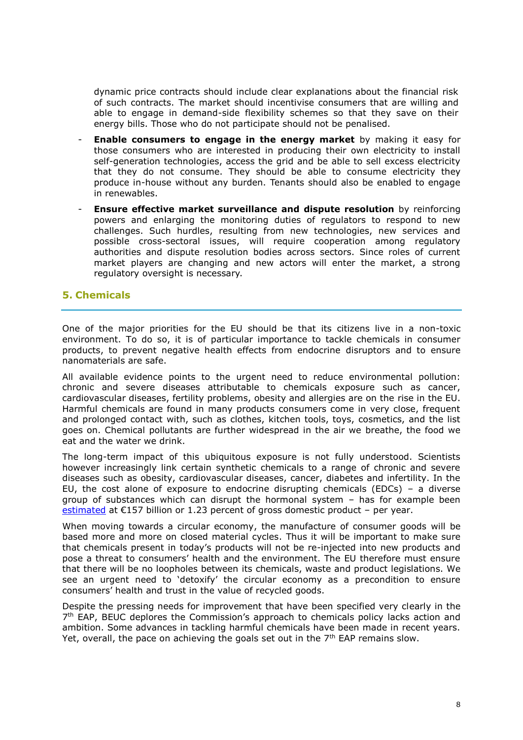dynamic price contracts should include clear explanations about the financial risk of such contracts. The market should incentivise consumers that are willing and able to engage in demand-side flexibility schemes so that they save on their energy bills. Those who do not participate should not be penalised.

- **Enable consumers to engage in the energy market** by making it easy for those consumers who are interested in producing their own electricity to install self-generation technologies, access the grid and be able to sell excess electricity that they do not consume. They should be able to consume electricity they produce in-house without any burden. Tenants should also be enabled to engage in renewables.
- **Ensure effective market surveillance and dispute resolution** by reinforcing powers and enlarging the monitoring duties of regulators to respond to new challenges. Such hurdles, resulting from new technologies, new services and possible cross-sectoral issues, will require cooperation among regulatory authorities and dispute resolution bodies across sectors. Since roles of current market players are changing and new actors will enter the market, a strong regulatory oversight is necessary.

# **5. Chemicals**

One of the major priorities for the EU should be that its citizens live in a non-toxic environment. To do so, it is of particular importance to tackle chemicals in consumer products, to prevent negative health effects from endocrine disruptors and to ensure nanomaterials are safe.

All available evidence points to the urgent need to reduce environmental pollution: chronic and severe diseases attributable to chemicals exposure such as cancer, cardiovascular diseases, fertility problems, obesity and allergies are on the rise in the EU. Harmful chemicals are found in many products consumers come in very close, frequent and prolonged contact with, such as clothes, kitchen tools, toys, cosmetics, and the list goes on. Chemical pollutants are further widespread in the air we breathe, the food we eat and the water we drink.

The long-term impact of this ubiquitous exposure is not fully understood. Scientists however increasingly link certain synthetic chemicals to a range of chronic and severe diseases such as obesity, cardiovascular diseases, cancer, diabetes and infertility. In the EU, the cost alone of exposure to endocrine disrupting chemicals (EDCs) – a diverse group of substances which can disrupt the hormonal system – has for example been [estimated](https://www.ncbi.nlm.nih.gov/pmc/articles/PMC4399291/) at  $E157$  billion or 1.23 percent of gross domestic product – per year.

When moving towards a circular economy, the manufacture of consumer goods will be based more and more on closed material cycles. Thus it will be important to make sure that chemicals present in today's products will not be re-injected into new products and pose a threat to consumers' health and the environment. The EU therefore must ensure that there will be no loopholes between its chemicals, waste and product legislations. We see an urgent need to 'detoxify' the circular economy as a precondition to ensure consumers' health and trust in the value of recycled goods.

Despite the pressing needs for improvement that have been specified very clearly in the 7<sup>th</sup> EAP, BEUC deplores the Commission's approach to chemicals policy lacks action and ambition. Some advances in tackling harmful chemicals have been made in recent years. Yet, overall, the pace on achieving the goals set out in the  $7<sup>th</sup>$  EAP remains slow.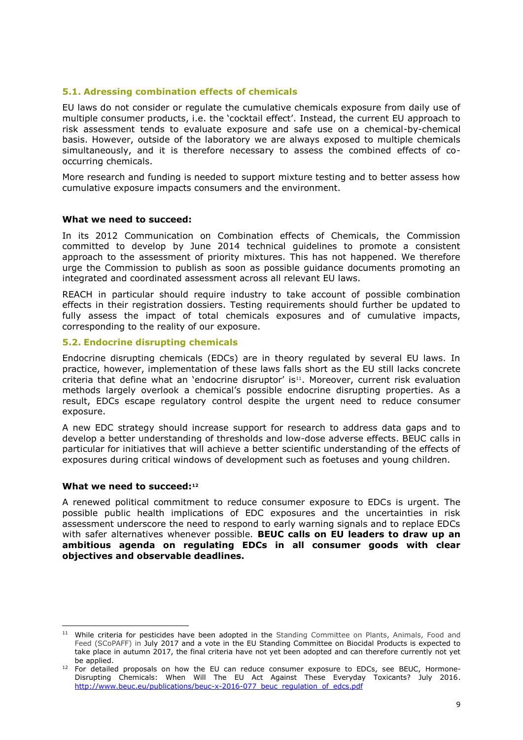#### **5.1. Adressing combination effects of chemicals**

EU laws do not consider or regulate the cumulative chemicals exposure from daily use of multiple consumer products, i.e. the 'cocktail effect'. Instead, the current EU approach to risk assessment tends to evaluate exposure and safe use on a chemical-by-chemical basis. However, outside of the laboratory we are always exposed to multiple chemicals simultaneously, and it is therefore necessary to assess the combined effects of cooccurring chemicals.

More research and funding is needed to support mixture testing and to better assess how cumulative exposure impacts consumers and the environment.

#### **What we need to succeed:**

In its 2012 Communication on Combination effects of Chemicals, the Commission committed to develop by June 2014 technical guidelines to promote a consistent approach to the assessment of priority mixtures. This has not happened. We therefore urge the Commission to publish as soon as possible guidance documents promoting an integrated and coordinated assessment across all relevant EU laws.

REACH in particular should require industry to take account of possible combination effects in their registration dossiers. Testing requirements should further be updated to fully assess the impact of total chemicals exposures and of cumulative impacts, corresponding to the reality of our exposure.

#### **5.2. Endocrine disrupting chemicals**

Endocrine disrupting chemicals (EDCs) are in theory regulated by several EU laws. In practice, however, implementation of these laws falls short as the EU still lacks concrete criteria that define what an 'endocrine disruptor' is<sup>11</sup>. Moreover, current risk evaluation methods largely overlook a chemical's possible endocrine disrupting properties. As a result, EDCs escape regulatory control despite the urgent need to reduce consumer exposure.

A new EDC strategy should increase support for research to address data gaps and to develop a better understanding of thresholds and low-dose adverse effects. BEUC calls in particular for initiatives that will achieve a better scientific understanding of the effects of exposures during critical windows of development such as foetuses and young children.

#### **What we need to succeed:<sup>12</sup>**

1

A renewed political commitment to reduce consumer exposure to EDCs is urgent. The possible public health implications of EDC exposures and the uncertainties in risk assessment underscore the need to respond to early warning signals and to replace EDCs with safer alternatives whenever possible. **BEUC calls on EU leaders to draw up an ambitious agenda on regulating EDCs in all consumer goods with clear objectives and observable deadlines.**

<sup>&</sup>lt;sup>11</sup> While criteria for pesticides have been adopted in the Standing Committee on Plants, Animals, Food and Feed (SCoPAFF) in July 2017 and a vote in the EU Standing Committee on Biocidal Products is expected to take place in autumn 2017, the final criteria have not yet been adopted and can therefore currently not yet be applied.

<sup>&</sup>lt;sup>12</sup> For detailed proposals on how the EU can reduce consumer exposure to EDCs, see BEUC, Hormone-Disrupting Chemicals: When Will The EU Act Against These Everyday Toxicants? July 2016. [http://www.beuc.eu/publications/beuc-x-2016-077\\_beuc\\_regulation\\_of\\_edcs.pdf](http://www.beuc.eu/publications/beuc-x-2016-077_beuc_regulation_of_edcs.pdf)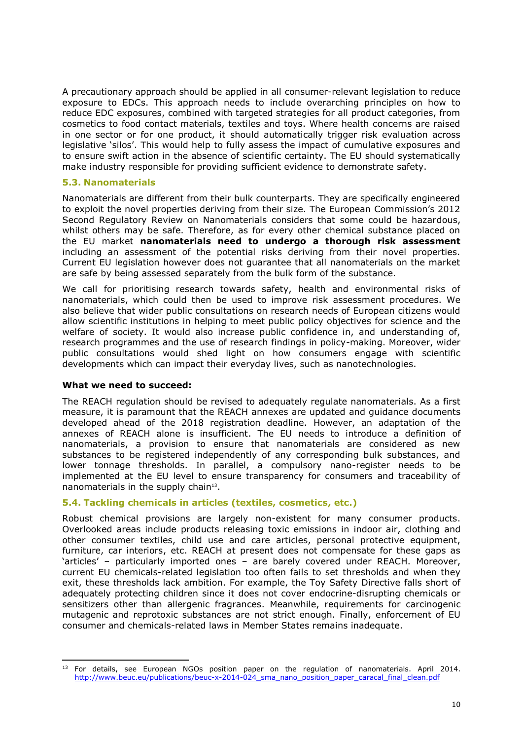A precautionary approach should be applied in all consumer-relevant legislation to reduce exposure to EDCs. This approach needs to include overarching principles on how to reduce EDC exposures, combined with targeted strategies for all product categories, from cosmetics to food contact materials, textiles and toys. Where health concerns are raised in one sector or for one product, it should automatically trigger risk evaluation across legislative 'silos'. This would help to fully assess the impact of cumulative exposures and to ensure swift action in the absence of scientific certainty. The EU should systematically make industry responsible for providing sufficient evidence to demonstrate safety.

#### **5.3. Nanomaterials**

Nanomaterials are different from their bulk counterparts. They are specifically engineered to exploit the novel properties deriving from their size. The European Commission's 2012 Second Regulatory Review on Nanomaterials considers that some could be hazardous, whilst others may be safe. Therefore, as for every other chemical substance placed on the EU market **nanomaterials need to undergo a thorough risk assessment** including an assessment of the potential risks deriving from their novel properties. Current EU legislation however does not guarantee that all nanomaterials on the market are safe by being assessed separately from the bulk form of the substance.

We call for prioritising research towards safety, health and environmental risks of nanomaterials, which could then be used to improve risk assessment procedures. We also believe that wider public consultations on research needs of European citizens would allow scientific institutions in helping to meet public policy objectives for science and the welfare of society. It would also increase public confidence in, and understanding of, research programmes and the use of research findings in policy-making. Moreover, wider public consultations would shed light on how consumers engage with scientific developments which can impact their everyday lives, such as nanotechnologies.

#### **What we need to succeed:**

-

The REACH regulation should be revised to adequately regulate nanomaterials. As a first measure, it is paramount that the REACH annexes are updated and guidance documents developed ahead of the 2018 registration deadline. However, an adaptation of the annexes of REACH alone is insufficient. The EU needs to introduce a definition of nanomaterials, a provision to ensure that nanomaterials are considered as new substances to be registered independently of any corresponding bulk substances, and lower tonnage thresholds. In parallel, a compulsory nano-register needs to be implemented at the EU level to ensure transparency for consumers and traceability of nanomaterials in the supply chain<sup>13</sup>.

#### **5.4. Tackling chemicals in articles (textiles, cosmetics, etc.)**

Robust chemical provisions are largely non-existent for many consumer products. Overlooked areas include products releasing toxic emissions in indoor air, clothing and other consumer textiles, child use and care articles, personal protective equipment, furniture, car interiors, etc. REACH at present does not compensate for these gaps as 'articles' – particularly imported ones – are barely covered under REACH. Moreover, current EU chemicals-related legislation too often fails to set thresholds and when they exit, these thresholds lack ambition. For example, the Toy Safety Directive falls short of adequately protecting children since it does not cover endocrine-disrupting chemicals or sensitizers other than allergenic fragrances. Meanwhile, requirements for carcinogenic mutagenic and reprotoxic substances are not strict enough. Finally, enforcement of EU consumer and chemicals-related laws in Member States remains inadequate.

<sup>&</sup>lt;sup>13</sup> For details, see European NGOs position paper on the regulation of nanomaterials. April 2014. [http://www.beuc.eu/publications/beuc-x-2014-024\\_sma\\_nano\\_position\\_paper\\_caracal\\_final\\_clean.pdf](http://www.beuc.eu/publications/beuc-x-2014-024_sma_nano_position_paper_caracal_final_clean.pdf)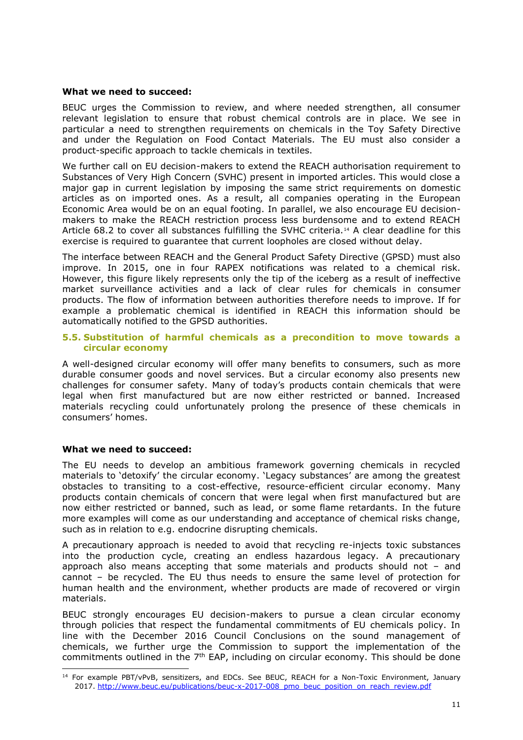#### **What we need to succeed:**

BEUC urges the Commission to review, and where needed strengthen, all consumer relevant legislation to ensure that robust chemical controls are in place. We see in particular a need to strengthen requirements on chemicals in the Toy Safety Directive and under the Regulation on Food Contact Materials. The EU must also consider a product-specific approach to tackle chemicals in textiles.

We further call on EU decision-makers to extend the REACH authorisation requirement to Substances of Very High Concern (SVHC) present in imported articles. This would close a major gap in current legislation by imposing the same strict requirements on domestic articles as on imported ones. As a result, all companies operating in the European Economic Area would be on an equal footing. In parallel, we also encourage EU decisionmakers to make the REACH restriction process less burdensome and to extend REACH Article 68.2 to cover all substances fulfilling the SVHC criteria.<sup>14</sup> A clear deadline for this exercise is required to guarantee that current loopholes are closed without delay.

The interface between REACH and the General Product Safety Directive (GPSD) must also improve. In 2015, one in four RAPEX notifications was related to a chemical risk. However, this figure likely represents only the tip of the iceberg as a result of ineffective market surveillance activities and a lack of clear rules for chemicals in consumer products. The flow of information between authorities therefore needs to improve. If for example a problematic chemical is identified in REACH this information should be automatically notified to the GPSD authorities.

#### **5.5. Substitution of harmful chemicals as a precondition to move towards a circular economy**

A well-designed circular economy will offer many benefits to consumers, such as more durable consumer goods and novel services. But a circular economy also presents new challenges for consumer safety. Many of today's products contain chemicals that were legal when first manufactured but are now either restricted or banned. Increased materials recycling could unfortunately prolong the presence of these chemicals in consumers' homes.

#### **What we need to succeed:**

The EU needs to develop an ambitious framework governing chemicals in recycled materials to 'detoxify' the circular economy. 'Legacy substances' are among the greatest obstacles to transiting to a cost-effective, resource-efficient circular economy. Many products contain chemicals of concern that were legal when first manufactured but are now either restricted or banned, such as lead, or some flame retardants. In the future more examples will come as our understanding and acceptance of chemical risks change, such as in relation to e.g. endocrine disrupting chemicals.

A precautionary approach is needed to avoid that recycling re-injects toxic substances into the production cycle, creating an endless hazardous legacy. A precautionary approach also means accepting that some materials and products should not – and cannot – be recycled. The EU thus needs to ensure the same level of protection for human health and the environment, whether products are made of recovered or virgin materials.

BEUC strongly encourages EU decision-makers to pursue a clean circular economy through policies that respect the fundamental commitments of EU chemicals policy. In line with the December 2016 Council Conclusions on the sound management of chemicals, we further urge the Commission to support the implementation of the commitments outlined in the  $7<sup>th</sup>$  EAP, including on circular economy. This should be done

<sup>-</sup><sup>14</sup> For example PBT/vPvB, sensitizers, and EDCs. See BEUC, REACH for a Non-Toxic Environment, January 2017. [http://www.beuc.eu/publications/beuc-x-2017-008\\_pmo\\_beuc\\_position\\_on\\_reach\\_review.pdf](http://www.beuc.eu/publications/beuc-x-2017-008_pmo_beuc_position_on_reach_review.pdf)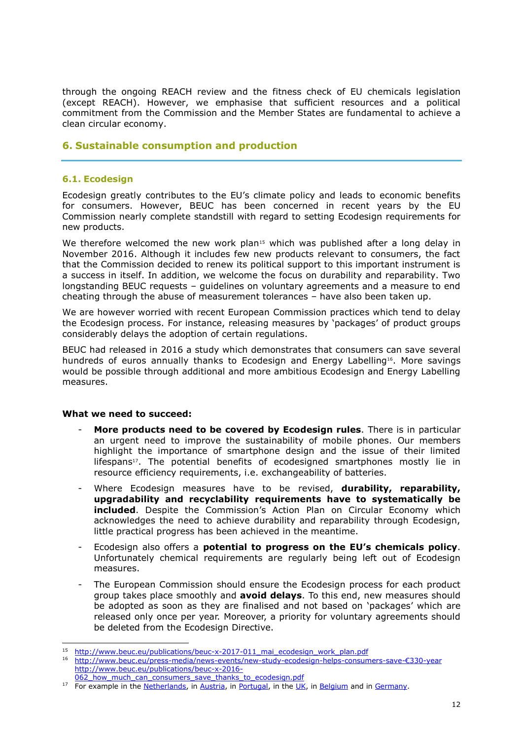through the ongoing REACH review and the fitness check of EU chemicals legislation (except REACH). However, we emphasise that sufficient resources and a political commitment from the Commission and the Member States are fundamental to achieve a clean circular economy.

# **6. Sustainable consumption and production**

#### **6.1. Ecodesign**

Ecodesign greatly contributes to the EU's climate policy and leads to economic benefits for consumers. However, BEUC has been concerned in recent years by the EU Commission nearly complete standstill with regard to setting Ecodesign requirements for new products.

We therefore welcomed the new work plan<sup>15</sup> which was published after a long delay in November 2016. Although it includes few new products relevant to consumers, the fact that the Commission decided to renew its political support to this important instrument is a success in itself. In addition, we welcome the focus on durability and reparability. Two longstanding BEUC requests – guidelines on voluntary agreements and a measure to end cheating through the abuse of measurement tolerances – have also been taken up.

We are however worried with recent European Commission practices which tend to delay the Ecodesign process. For instance, releasing measures by 'packages' of product groups considerably delays the adoption of certain regulations.

BEUC had released in 2016 a study which demonstrates that consumers can save several hundreds of euros annually thanks to Ecodesign and Energy Labelling<sup>16</sup>. More savings would be possible through additional and more ambitious Ecodesign and Energy Labelling measures.

#### **What we need to succeed:**

- **More products need to be covered by Ecodesign rules**. There is in particular an urgent need to improve the sustainability of mobile phones. Our members highlight the importance of smartphone design and the issue of their limited lifespans<sup>17</sup>. The potential benefits of ecodesigned smartphones mostly lie in resource efficiency requirements, i.e. exchangeability of batteries.
- Where Ecodesign measures have to be revised, **durability, reparability, upgradability and recyclability requirements have to systematically be included**. Despite the Commission's Action Plan on Circular Economy which acknowledges the need to achieve durability and reparability through Ecodesign, little practical progress has been achieved in the meantime.
- Ecodesign also offers a **potential to progress on the EU's chemicals policy**. Unfortunately chemical requirements are regularly being left out of Ecodesign measures.
- The European Commission should ensure the Ecodesign process for each product group takes place smoothly and **avoid delays**. To this end, new measures should be adopted as soon as they are finalised and not based on 'packages' which are released only once per year. Moreover, a priority for voluntary agreements should be deleted from the Ecodesign Directive.

<sup>1</sup> <sup>15</sup> [http://www.beuc.eu/publications/beuc-x-2017-011\\_mai\\_ecodesign\\_work\\_plan.pdf](http://www.beuc.eu/publications/beuc-x-2017-011_mai_ecodesign_work_plan.pdf)

<sup>16</sup> [http://www.beuc.eu/press-media/news-events/new-study-ecodesign-helps-consumers-save-](http://www.beuc.eu/press-media/news-events/new-study-ecodesign-helps-consumers-save-€330-year)€330-year [http://www.beuc.eu/publications/beuc-x-2016-](http://www.beuc.eu/publications/beuc-x-2016-062_how_much_can_consumers_save_thanks_to_ecodesign.pdf)

<sup>062</sup> how much can consumers save thanks to ecodesign.pdf

<sup>&</sup>lt;sup>17</sup> For example in the [Netherlands,](http://www.beuc.eu/documents/files/FC/durablegoods/articles/Consumentenbond-Factsheet-Action-Updating.pdf) in [Austria,](http://www.beuc.eu/documents/files/FC/durablegoods/articles/0515_AK_Austria.pdf) i[n Portugal,](http://www.beuc.eu/documents/files/FC/durablegoods/articles/1014_DECO_Portugal.pdf) in the [UK,](http://www.beuc.eu/documents/files/FC/durablegoods/articles/0614_Which_UK.pdf) in [Belgium](http://www.beuc.eu/documents/files/FC/durablegoods/articles/1013_Test_Achats_Belgium.pdf) and in [Germany.](http://www.beuc.eu/documents/files/FC/durablegoods/articles/0913_Stiftung_Warentest_Germany.pdf)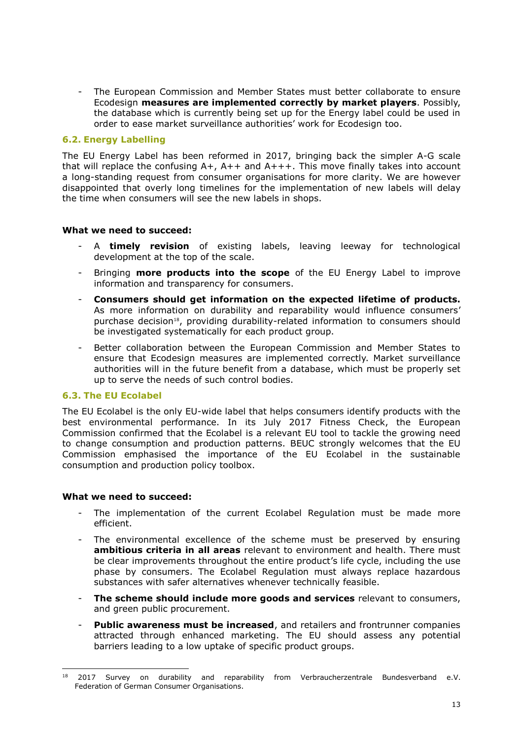- The European Commission and Member States must better collaborate to ensure Ecodesign **measures are implemented correctly by market players**. Possibly, the database which is currently being set up for the Energy label could be used in order to ease market surveillance authorities' work for Ecodesign too.

#### **6.2. Energy Labelling**

The EU Energy Label has been reformed in 2017, bringing back the simpler A-G scale that will replace the confusing  $A+$ ,  $A++$  and  $A+++$ . This move finally takes into account a long-standing request from consumer organisations for more clarity. We are however disappointed that overly long timelines for the implementation of new labels will delay the time when consumers will see the new labels in shops.

#### **What we need to succeed:**

- A **timely revision** of existing labels, leaving leeway for technological development at the top of the scale.
- Bringing **more products into the scope** of the EU Energy Label to improve information and transparency for consumers.
- **Consumers should get information on the expected lifetime of products.** As more information on durability and reparability would influence consumers' purchase decision<sup>18</sup>, providing durability-related information to consumers should be investigated systematically for each product group.
- Better collaboration between the European Commission and Member States to ensure that Ecodesign measures are implemented correctly. Market surveillance authorities will in the future benefit from a database, which must be properly set up to serve the needs of such control bodies.

#### **6.3. The EU Ecolabel**

The EU Ecolabel is the only EU-wide label that helps consumers identify products with the best environmental performance. In its July 2017 Fitness Check, the European Commission confirmed that the Ecolabel is a relevant EU tool to tackle the growing need to change consumption and production patterns. BEUC strongly welcomes that the EU Commission emphasised the importance of the EU Ecolabel in the sustainable consumption and production policy toolbox.

#### **What we need to succeed:**

- The implementation of the current Ecolabel Regulation must be made more efficient.
- The environmental excellence of the scheme must be preserved by ensuring **ambitious criteria in all areas** relevant to environment and health. There must be clear improvements throughout the entire product's life cycle, including the use phase by consumers. The Ecolabel Regulation must always replace hazardous substances with safer alternatives whenever technically feasible.
- **The scheme should include more goods and services** relevant to consumers, and green public procurement.
- Public awareness must be increased, and retailers and frontrunner companies attracted through enhanced marketing. The EU should assess any potential barriers leading to a low uptake of specific product groups.

<sup>-</sup><sup>18</sup> 2017 Survey on durability and reparability from Verbraucherzentrale Bundesverband e.V. Federation of German Consumer Organisations.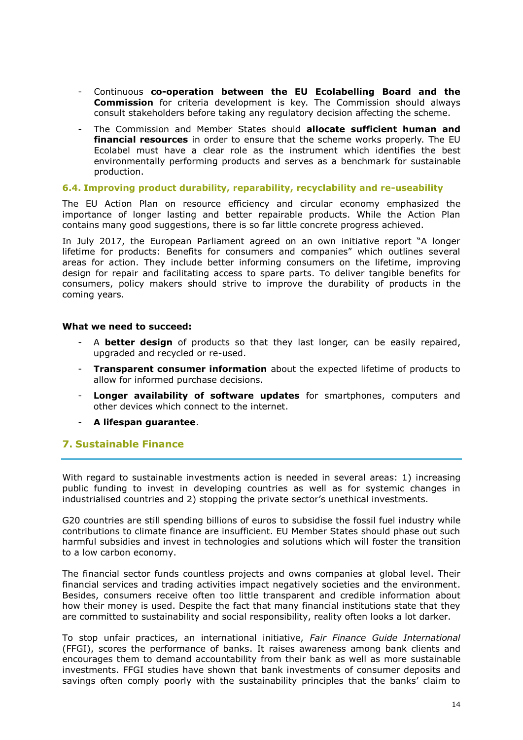- Continuous **co-operation between the EU Ecolabelling Board and the Commission** for criteria development is key. The Commission should always consult stakeholders before taking any regulatory decision affecting the scheme.
- The Commission and Member States should **allocate sufficient human and financial resources** in order to ensure that the scheme works properly. The EU Ecolabel must have a clear role as the instrument which identifies the best environmentally performing products and serves as a benchmark for sustainable production.

#### **6.4. Improving product durability, reparability, recyclability and re-useability**

The EU Action Plan on resource efficiency and circular economy emphasized the importance of longer lasting and better repairable products. While the Action Plan contains many good suggestions, there is so far little concrete progress achieved.

In July 2017, the European Parliament agreed on an own initiative report "A longer lifetime for products: Benefits for consumers and companies" which outlines several areas for action. They include better informing consumers on the lifetime, improving design for repair and facilitating access to spare parts. To deliver tangible benefits for consumers, policy makers should strive to improve the durability of products in the coming years.

#### **What we need to succeed:**

- A **better design** of products so that they last longer, can be easily repaired, upgraded and recycled or re-used.
- **Transparent consumer information** about the expected lifetime of products to allow for informed purchase decisions.
- **Longer availability of software updates** for smartphones, computers and other devices which connect to the internet.
- **A lifespan guarantee**.

## **7. Sustainable Finance**

With regard to sustainable investments action is needed in several areas: 1) increasing public funding to invest in developing countries as well as for systemic changes in industrialised countries and 2) stopping the private sector's unethical investments.

G20 countries are still spending billions of euros to subsidise the fossil fuel industry while contributions to climate finance are insufficient. EU Member States should phase out such harmful subsidies and invest in technologies and solutions which will foster the transition to a low carbon economy.

The financial sector funds countless projects and owns companies at global level. Their financial services and trading activities impact negatively societies and the environment. Besides, consumers receive often too little transparent and credible information about how their money is used. Despite the fact that many financial institutions state that they are committed to sustainability and social responsibility, reality often looks a lot darker.

To stop unfair practices, an international initiative, *Fair Finance Guide International*  (FFGI), scores the performance of banks. It raises awareness among bank clients and encourages them to demand accountability from their bank as well as more sustainable investments. FFGI studies have shown that bank investments of consumer deposits and savings often comply poorly with the sustainability principles that the banks' claim to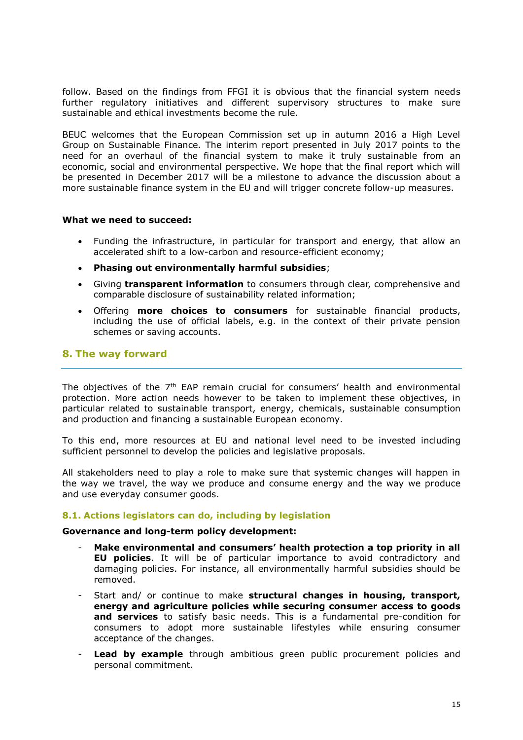follow. Based on the findings from FFGI it is obvious that the financial system needs further regulatory initiatives and different supervisory structures to make sure sustainable and ethical investments become the rule.

BEUC welcomes that the European Commission set up in autumn 2016 a High Level Group on Sustainable Finance. The interim report presented in July 2017 points to the need for an overhaul of the financial system to make it truly sustainable from an economic, social and environmental perspective. We hope that the final report which will be presented in December 2017 will be a milestone to advance the discussion about a more sustainable finance system in the EU and will trigger concrete follow-up measures.

#### **What we need to succeed:**

- Funding the infrastructure, in particular for transport and energy, that allow an accelerated shift to a low-carbon and resource-efficient economy;
- **Phasing out environmentally harmful subsidies**;
- Giving **transparent information** to consumers through clear, comprehensive and comparable disclosure of sustainability related information;
- Offering **more choices to consumers** for sustainable financial products, including the use of official labels, e.g. in the context of their private pension schemes or saving accounts.

## **8. The way forward**

The objectives of the 7<sup>th</sup> EAP remain crucial for consumers' health and environmental protection. More action needs however to be taken to implement these objectives, in particular related to sustainable transport, energy, chemicals, sustainable consumption and production and financing a sustainable European economy.

To this end, more resources at EU and national level need to be invested including sufficient personnel to develop the policies and legislative proposals.

All stakeholders need to play a role to make sure that systemic changes will happen in the way we travel, the way we produce and consume energy and the way we produce and use everyday consumer goods.

#### **8.1. Actions legislators can do, including by legislation**

#### **Governance and long-term policy development:**

- **Make environmental and consumers' health protection a top priority in all EU policies**. It will be of particular importance to avoid contradictory and damaging policies. For instance, all environmentally harmful subsidies should be removed.
- Start and/ or continue to make **structural changes in housing, transport, energy and agriculture policies while securing consumer access to goods and services** to satisfy basic needs. This is a fundamental pre-condition for consumers to adopt more sustainable lifestyles while ensuring consumer acceptance of the changes.
- **Lead by example** through ambitious green public procurement policies and personal commitment.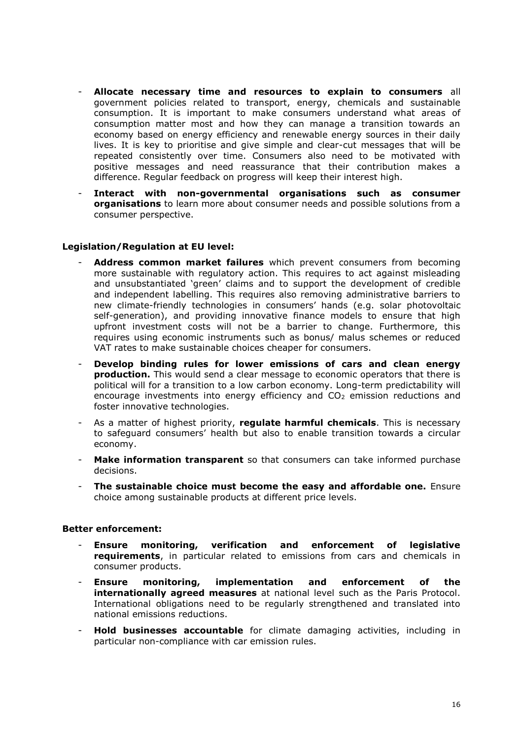- **Allocate necessary time and resources to explain to consumers** all government policies related to transport, energy, chemicals and sustainable consumption. It is important to make consumers understand what areas of consumption matter most and how they can manage a transition towards an economy based on energy efficiency and renewable energy sources in their daily lives. It is key to prioritise and give simple and clear-cut messages that will be repeated consistently over time. Consumers also need to be motivated with positive messages and need reassurance that their contribution makes a difference. Regular feedback on progress will keep their interest high.
- **Interact with non-governmental organisations such as consumer organisations** to learn more about consumer needs and possible solutions from a consumer perspective.

#### **Legislation/Regulation at EU level:**

- **Address common market failures** which prevent consumers from becoming more sustainable with regulatory action. This requires to act against misleading and unsubstantiated 'green' claims and to support the development of credible and independent labelling. This requires also removing administrative barriers to new climate-friendly technologies in consumers' hands (e.g. solar photovoltaic self-generation), and providing innovative finance models to ensure that high upfront investment costs will not be a barrier to change. Furthermore, this requires using economic instruments such as bonus/ malus schemes or reduced VAT rates to make sustainable choices cheaper for consumers.
- **Develop binding rules for lower emissions of cars and clean energy production.** This would send a clear message to economic operators that there is political will for a transition to a low carbon economy. Long-term predictability will encourage investments into energy efficiency and  $CO<sub>2</sub>$  emission reductions and foster innovative technologies.
- As a matter of highest priority, **regulate harmful chemicals**. This is necessary to safeguard consumers' health but also to enable transition towards a circular economy.
- **Make information transparent** so that consumers can take informed purchase decisions.
- **The sustainable choice must become the easy and affordable one.** Ensure choice among sustainable products at different price levels.

#### **Better enforcement:**

- **Ensure monitoring, verification and enforcement of legislative requirements**, in particular related to emissions from cars and chemicals in consumer products.
- **Ensure monitoring, implementation and enforcement of the internationally agreed measures** at national level such as the Paris Protocol. International obligations need to be regularly strengthened and translated into national emissions reductions.
- **Hold businesses accountable** for climate damaging activities, including in particular non-compliance with car emission rules.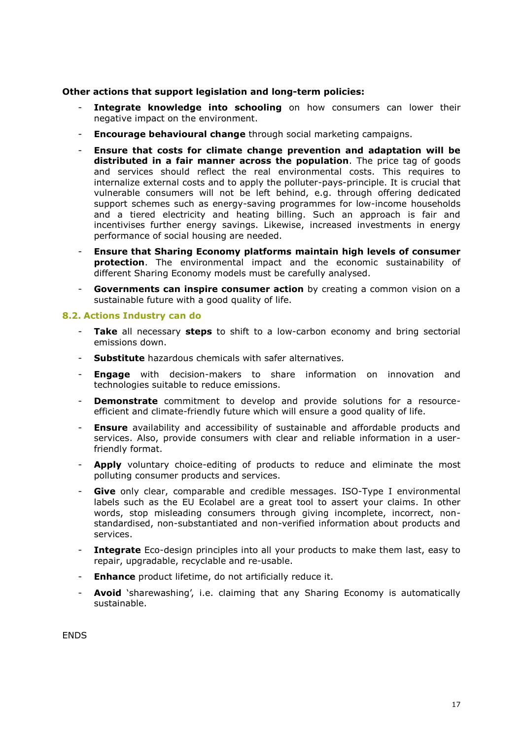#### **Other actions that support legislation and long-term policies:**

- **Integrate knowledge into schooling** on how consumers can lower their negative impact on the environment.
- **Encourage behavioural change** through social marketing campaigns.
- **Ensure that costs for climate change prevention and adaptation will be distributed in a fair manner across the population**. The price tag of goods and services should reflect the real environmental costs. This requires to internalize external costs and to apply the polluter-pays-principle. It is crucial that vulnerable consumers will not be left behind, e.g. through offering dedicated support schemes such as energy-saving programmes for low-income households and a tiered electricity and heating billing. Such an approach is fair and incentivises further energy savings. Likewise, increased investments in energy performance of social housing are needed.
- **Ensure that Sharing Economy platforms maintain high levels of consumer protection**. The environmental impact and the economic sustainability of different Sharing Economy models must be carefully analysed.
- Governments can inspire consumer action by creating a common vision on a sustainable future with a good quality of life.

#### **8.2. Actions Industry can do**

- **Take** all necessary **steps** to shift to a low-carbon economy and bring sectorial emissions down.
- **Substitute** hazardous chemicals with safer alternatives.
- **Engage** with decision-makers to share information on innovation and technologies suitable to reduce emissions.
- **Demonstrate** commitment to develop and provide solutions for a resourceefficient and climate-friendly future which will ensure a good quality of life.
- **Ensure** availability and accessibility of sustainable and affordable products and services. Also, provide consumers with clear and reliable information in a userfriendly format.
- **Apply** voluntary choice-editing of products to reduce and eliminate the most polluting consumer products and services.
- Give only clear, comparable and credible messages. ISO-Type I environmental labels such as the EU Ecolabel are a great tool to assert your claims. In other words, stop misleading consumers through giving incomplete, incorrect, nonstandardised, non-substantiated and non-verified information about products and services.
- **Integrate** Eco-design principles into all your products to make them last, easy to repair, upgradable, recyclable and re-usable.
- **Enhance** product lifetime, do not artificially reduce it.
- **Avoid** 'sharewashing', i.e. claiming that any Sharing Economy is automatically sustainable.

**ENDS**